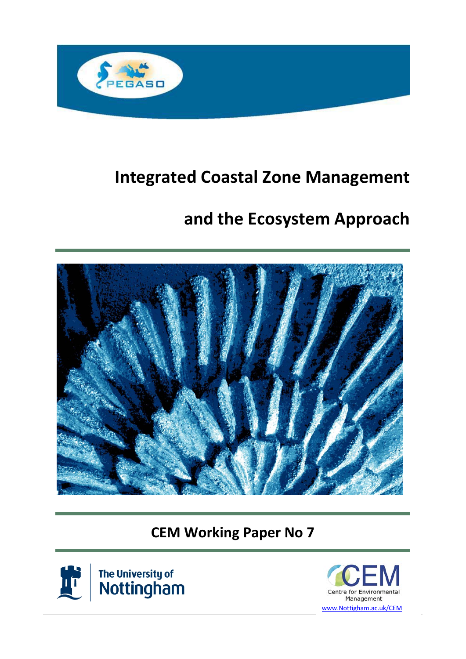

# **Integrated Coastal Zone Management**

# **and the Ecosystem Approach**



**CEM Working Paper No 7**



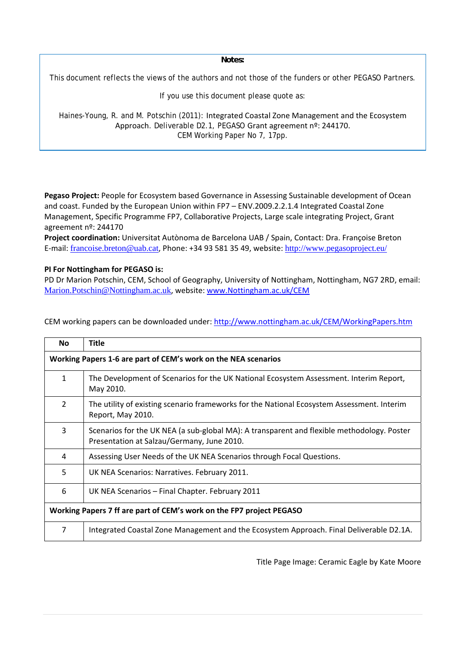**Notes:** 

This document reflects the views of the authors and not those of the funders or other PEGASO Partners.

If you use this document please quote as:

Haines-Young, R. and M. Potschin (2011): Integrated Coastal Zone Management and the Ecosystem Approach. Deliverable D2.1, PEGASO Grant agreement nº: 244170. CEM Working Paper No 7, 17pp.

**Pegaso Project:** People for Ecosystem based Governance in Assessing Sustainable development of Ocean and coast. Funded by the European Union within FP7 – ENV.2009.2.2.1.4 Integrated Coastal Zone Management, Specific Programme FP7, Collaborative Projects, Large scale integrating Project, Grant agreement nº: 244170

**Project coordination:** Universitat Autònoma de Barcelona UAB / Spain, Contact: Dra. Françoise Breton E‐mail: francoise.breton@uab.cat, Phone: +34 93 581 35 49, website: http://www.pegasoproject.eu/

#### **PI For Nottingham for PEGASO is:**

PD Dr Marion Potschin, CEM, School of Geography, University of Nottingham, Nottingham, NG7 2RD, email: Marion.Potschin@Nottingham.ac.uk, website: www.Nottingham.ac.uk/CEM

CEM working papers can be downloaded under: http://www.nottingham.ac.uk/CEM/WorkingPapers.htm

| No                                                                   | <b>Title</b>                                                                                                                             |  |
|----------------------------------------------------------------------|------------------------------------------------------------------------------------------------------------------------------------------|--|
| Working Papers 1-6 are part of CEM's work on the NEA scenarios       |                                                                                                                                          |  |
| 1                                                                    | The Development of Scenarios for the UK National Ecosystem Assessment. Interim Report,<br>May 2010.                                      |  |
| $\overline{2}$                                                       | The utility of existing scenario frameworks for the National Ecosystem Assessment. Interim<br>Report, May 2010.                          |  |
| 3                                                                    | Scenarios for the UK NEA (a sub-global MA): A transparent and flexible methodology. Poster<br>Presentation at Salzau/Germany, June 2010. |  |
| 4                                                                    | Assessing User Needs of the UK NEA Scenarios through Focal Questions.                                                                    |  |
| 5                                                                    | UK NEA Scenarios: Narratives. February 2011.                                                                                             |  |
| 6                                                                    | UK NEA Scenarios - Final Chapter. February 2011                                                                                          |  |
| Working Papers 7 ff are part of CEM's work on the FP7 project PEGASO |                                                                                                                                          |  |
| 7                                                                    | Integrated Coastal Zone Management and the Ecosystem Approach. Final Deliverable D2.1A.                                                  |  |

Title Page Image: Ceramic Eagle by Kate Moore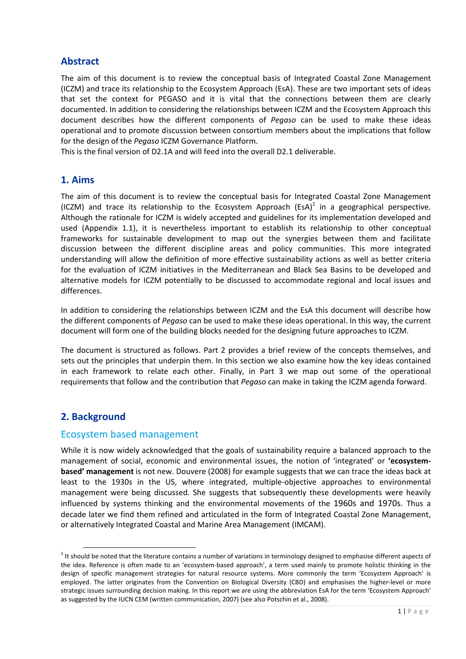## **Abstract**

The aim of this document is to review the conceptual basis of Integrated Coastal Zone Management (ICZM) and trace its relationship to the Ecosystem Approach (EsA). These are two important sets of ideas that set the context for PEGASO and it is vital that the connections between them are clearly documented. In addition to considering the relationships between ICZM and the Ecosystem Approach this document describes how the different components of *Pegaso* can be used to make these ideas operational and to promote discussion between consortium members about the implications that follow for the design of the *Pegaso* ICZM Governance Platform.

This is the final version of D2.1A and will feed into the overall D2.1 deliverable.

#### **1. Aims**

The aim of this document is to review the conceptual basis for Integrated Coastal Zone Management (ICZM) and trace its relationship to the Ecosystem Approach (EsA)<sup>1</sup> in a geographical perspective. Although the rationale for ICZM is widely accepted and guidelines for its implementation developed and used (Appendix 1.1), it is nevertheless important to establish its relationship to other conceptual frameworks for sustainable development to map out the synergies between them and facilitate discussion between the different discipline areas and policy communities. This more integrated understanding will allow the definition of more effective sustainability actions as well as better criteria for the evaluation of ICZM initiatives in the Mediterranean and Black Sea Basins to be developed and alternative models for ICZM potentially to be discussed to accommodate regional and local issues and differences.

In addition to considering the relationships between ICZM and the EsA this document will describe how the different components of *Pegaso* can be used to make these ideas operational. In this way, the current document will form one of the building blocks needed for the designing future approaches to ICZM.

The document is structured as follows. Part 2 provides a brief review of the concepts themselves, and sets out the principles that underpin them. In this section we also examine how the key ideas contained in each framework to relate each other. Finally, in Part 3 we map out some of the operational requirements that follow and the contribution that *Pegaso* can make in taking the ICZM agenda forward.

# **2. Background**

#### Ecosystem based management

While it is now widely acknowledged that the goals of sustainability require a balanced approach to the management of social, economic and environmental issues, the notion of 'integrated' or **'ecosystem‐ based' management** is not new. Douvere (2008) for example suggests that we can trace the ideas back at least to the 1930s in the US, where integrated, multiple‐objective approaches to environmental management were being discussed. She suggests that subsequently these developments were heavily influenced by systems thinking and the environmental movements of the 1960s and 1970s. Thus a decade later we find them refined and articulated in the form of Integrated Coastal Zone Management, or alternatively Integrated Coastal and Marine Area Management (IMCAM).

 $1$  It should be noted that the literature contains a number of variations in terminology designed to emphasise different aspects of the idea. Reference is often made to an 'ecosystem-based approach', a term used mainly to promote holistic thinking in the design of specific management strategies for natural resource systems. More commonly the term 'Ecosystem Approach' is employed. The latter originates from the Convention on Biological Diversity (CBD) and emphasises the higher-level or more strategic issues surrounding decision making. In this report we are using the abbreviation EsA for the term 'Ecosystem Approach' as suggested by the IUCN CEM (written communication, 2007) (see also Potschin et al., 2008).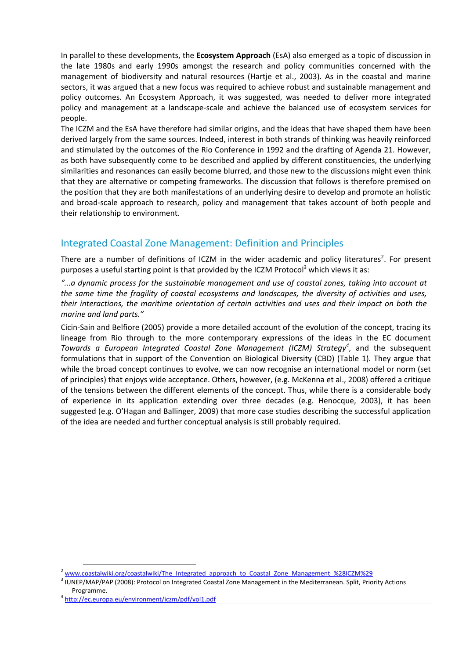In parallel to these developments, the **Ecosystem Approach** (EsA) also emerged as a topic of discussion in the late 1980s and early 1990s amongst the research and policy communities concerned with the management of biodiversity and natural resources (Hartje et al., 2003). As in the coastal and marine sectors, it was argued that a new focus was required to achieve robust and sustainable management and policy outcomes. An Ecosystem Approach, it was suggested, was needed to deliver more integrated policy and management at a landscape‐scale and achieve the balanced use of ecosystem services for people.

The ICZM and the EsA have therefore had similar origins, and the ideas that have shaped them have been derived largely from the same sources. Indeed, interest in both strands of thinking was heavily reinforced and stimulated by the outcomes of the Rio Conference in 1992 and the drafting of Agenda 21. However, as both have subsequently come to be described and applied by different constituencies, the underlying similarities and resonances can easily become blurred, and those new to the discussions might even think that they are alternative or competing frameworks. The discussion that follows is therefore premised on the position that they are both manifestations of an underlying desire to develop and promote an holistic and broad‐scale approach to research, policy and management that takes account of both people and their relationship to environment.

## Integrated Coastal Zone Management: Definition and Principles

There are a number of definitions of ICZM in the wider academic and policy literatures<sup>2</sup>. For present purposes a useful starting point is that provided by the ICZM Protocol<sup>3</sup> which views it as:

*"...a dynamic process for the sustainable management and use of coastal zones, taking into account at the same time the fragility of coastal ecosystems and landscapes, the diversity of activities and uses, their interactions, the maritime orientation of certain activities and uses and their impact on both the marine and land parts."*

Cicin‐Sain and Belfiore (2005) provide a more detailed account of the evolution of the concept, tracing its lineage from Rio through to the more contemporary expressions of the ideas in the EC document *Towards a European Integrated Coastal Zone Management (ICZM) Strategy<sup>4</sup>* , and the subsequent formulations that in support of the Convention on Biological Diversity (CBD) (Table 1). They argue that while the broad concept continues to evolve, we can now recognise an international model or norm (set of principles) that enjoys wide acceptance. Others, however, (e.g. McKenna et al., 2008) offered a critique of the tensions between the different elements of the concept. Thus, while there is a considerable body of experience in its application extending over three decades (e.g. Henocque, 2003), it has been suggested (e.g. O'Hagan and Ballinger, 2009) that more case studies describing the successful application of the idea are needed and further conceptual analysis is still probably required.

<sup>&</sup>lt;sup>2</sup> www.coastalwiki.org/coastalwiki/The\_Integrated\_approach\_to\_Coastal\_Zone\_Management\_%28ICZM%29 3 IUNEP/MAP/PAP (2008): Protocol on Integrated Coastal Zone Management in the Mediterranean. Split, Priority Actions

Programme.<br>4 http://ec.europa.eu/environment/iczm/pdf/vol1.pdf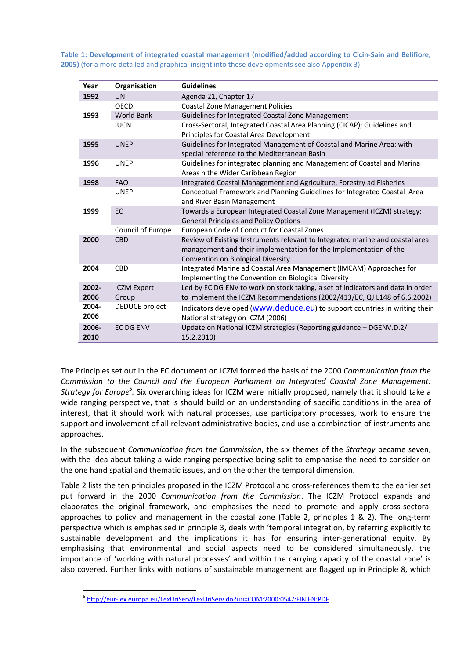**Table 1: Development of integrated coastal management (modified/added according to Cicin‐Sain and Belifiore, 2005)** (for a more detailed and graphical insight into these developments see also Appendix 3)

| Year     | Organisation       | <b>Guidelines</b>                                                                   |  |  |
|----------|--------------------|-------------------------------------------------------------------------------------|--|--|
| 1992     | <b>UN</b>          | Agenda 21, Chapter 17                                                               |  |  |
|          | <b>OECD</b>        | <b>Coastal Zone Management Policies</b>                                             |  |  |
| 1993     | <b>World Bank</b>  | Guidelines for Integrated Coastal Zone Management                                   |  |  |
|          | <b>IUCN</b>        | Cross-Sectoral, Integrated Coastal Area Planning (CICAP); Guidelines and            |  |  |
|          |                    | Principles for Coastal Area Development                                             |  |  |
| 1995     | <b>UNEP</b>        | Guidelines for Integrated Management of Coastal and Marine Area: with               |  |  |
|          |                    | special reference to the Mediterranean Basin                                        |  |  |
| 1996     | <b>UNEP</b>        | Guidelines for integrated planning and Management of Coastal and Marina             |  |  |
|          |                    | Areas n the Wider Caribbean Region                                                  |  |  |
| 1998     | <b>FAO</b>         | Integrated Coastal Management and Agriculture, Forestry ad Fisheries                |  |  |
|          | <b>UNEP</b>        | Conceptual Framework and Planning Guidelines for Integrated Coastal Area            |  |  |
|          |                    | and River Basin Management                                                          |  |  |
| 1999     | EC                 | Towards a European Integrated Coastal Zone Management (ICZM) strategy:              |  |  |
|          |                    | <b>General Principles and Policy Options</b>                                        |  |  |
|          | Council of Europe  | European Code of Conduct for Coastal Zones                                          |  |  |
| 2000     | <b>CBD</b>         | Review of Existing Instruments relevant to Integrated marine and coastal area       |  |  |
|          |                    | management and their implementation for the Implementation of the                   |  |  |
|          |                    | Convention on Biological Diversity                                                  |  |  |
| 2004     | <b>CBD</b>         | Integrated Marine ad Coastal Area Management (IMCAM) Approaches for                 |  |  |
|          |                    | Implementing the Convention on Biological Diversity                                 |  |  |
| $2002 -$ | <b>ICZM Expert</b> | Led by EC DG ENV to work on stock taking, a set of indicators and data in order     |  |  |
| 2006     | Group              | to implement the ICZM Recommendations (2002/413/EC, QJ L148 of 6.6.2002)            |  |  |
| 2004-    | DEDUCE project     | Indicators developed ( <b>WWW.deduce.eu</b> ) to support countries in writing their |  |  |
| 2006     |                    | National strategy on ICZM (2006)                                                    |  |  |
| 2006-    | <b>EC DG ENV</b>   | Update on National ICZM strategies (Reporting guidance - DGENV.D.2/                 |  |  |
| 2010     |                    | 15.2.2010)                                                                          |  |  |

The Principles set out in the EC document on ICZM formed the basis of the 2000 *Communication from the Commission to the Council and the European Parliament on Integrated Coastal Zone Management: Strategy for Europe<sup>5</sup> .* Six overarching ideas for ICZM were initially proposed, namely that it should take a wide ranging perspective, that is should build on an understanding of specific conditions in the area of interest, that it should work with natural processes, use participatory processes, work to ensure the support and involvement of all relevant administrative bodies, and use a combination of instruments and approaches.

In the subsequent *Communication from the Commission*, the six themes of the *Strategy* became seven, with the idea about taking a wide ranging perspective being split to emphasise the need to consider on the one hand spatial and thematic issues, and on the other the temporal dimension.

Table 2 lists the ten principles proposed in the ICZM Protocol and cross-references them to the earlier set put forward in the 2000 *Communication from the Commission*. The ICZM Protocol expands and elaborates the original framework, and emphasises the need to promote and apply cross‐sectoral approaches to policy and management in the coastal zone (Table 2, principles 1 & 2). The long-term perspective which is emphasised in principle 3, deals with 'temporal integration, by referring explicitly to sustainable development and the implications it has for ensuring inter‐generational equity. By emphasising that environmental and social aspects need to be considered simultaneously, the importance of 'working with natural processes' and within the carrying capacity of the coastal zone' is also covered. Further links with notions of sustainable management are flagged up in Principle 8, which

<sup>1</sup> <sup>5</sup> http://eur‐lex.europa.eu/LexUriServ/LexUriServ.do?uri=COM:2000:0547:FIN:EN:PDF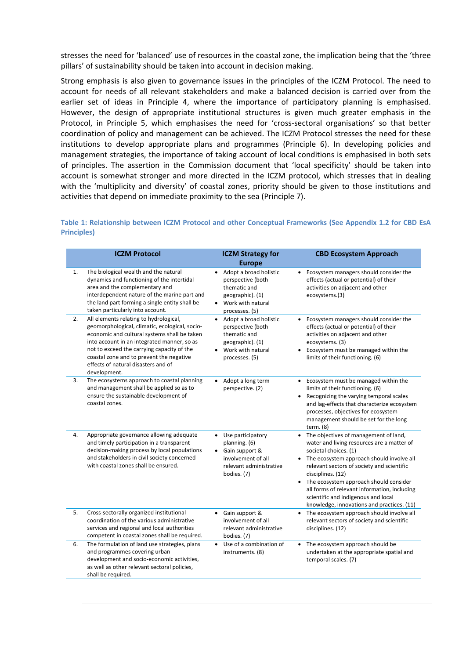stresses the need for 'balanced' use of resources in the coastal zone, the implication being that the 'three pillars' of sustainability should be taken into account in decision making.

Strong emphasis is also given to governance issues in the principles of the ICZM Protocol. The need to account for needs of all relevant stakeholders and make a balanced decision is carried over from the earlier set of ideas in Principle 4, where the importance of participatory planning is emphasised. However, the design of appropriate institutional structures is given much greater emphasis in the Protocol, in Principle 5, which emphasises the need for 'cross‐sectoral organisations' so that better coordination of policy and management can be achieved. The ICZM Protocol stresses the need for these institutions to develop appropriate plans and programmes (Principle 6). In developing policies and management strategies, the importance of taking account of local conditions is emphasised in both sets of principles. The assertion in the Commission document that 'local specificity' should be taken into account is somewhat stronger and more directed in the ICZM protocol, which stresses that in dealing with the 'multiplicity and diversity' of coastal zones, priority should be given to those institutions and activities that depend on immediate proximity to the sea (Principle 7).

#### **Table 1: Relationship between ICZM Protocol and other Conceptual Frameworks (See Appendix 1.2 for CBD EsA Principles)**

|    | <b>ICZM Protocol</b>                                                                                                                                                                                                                                                                                                                     | <b>ICZM Strategy for</b>                                                                                                                             | <b>CBD Ecosystem Approach</b>                                                                                                                                                                                                                                                                                                                                                                                                              |
|----|------------------------------------------------------------------------------------------------------------------------------------------------------------------------------------------------------------------------------------------------------------------------------------------------------------------------------------------|------------------------------------------------------------------------------------------------------------------------------------------------------|--------------------------------------------------------------------------------------------------------------------------------------------------------------------------------------------------------------------------------------------------------------------------------------------------------------------------------------------------------------------------------------------------------------------------------------------|
| 1. | The biological wealth and the natural<br>dynamics and functioning of the intertidal<br>area and the complementary and<br>interdependent nature of the marine part and<br>the land part forming a single entity shall be<br>taken particularly into account.                                                                              | <b>Europe</b><br>Adopt a broad holistic<br>$\bullet$<br>perspective (both<br>thematic and<br>geographic). (1)<br>Work with natural<br>processes. (5) | Ecosystem managers should consider the<br>$\bullet$<br>effects (actual or potential) of their<br>activities on adjacent and other<br>ecosystems.(3)                                                                                                                                                                                                                                                                                        |
| 2. | All elements relating to hydrological,<br>geomorphological, climatic, ecological, socio-<br>economic and cultural systems shall be taken<br>into account in an integrated manner, so as<br>not to exceed the carrying capacity of the<br>coastal zone and to prevent the negative<br>effects of natural disasters and of<br>development. | Adopt a broad holistic<br>perspective (both<br>thematic and<br>geographic). (1)<br>Work with natural<br>processes. (5)                               | Ecosystem managers should consider the<br>effects (actual or potential) of their<br>activities on adjacent and other<br>ecosystems. (3)<br>Ecosystem must be managed within the<br>$\bullet$<br>limits of their functioning. (6)                                                                                                                                                                                                           |
| 3. | The ecosystems approach to coastal planning<br>and management shall be applied so as to<br>ensure the sustainable development of<br>coastal zones.                                                                                                                                                                                       | Adopt a long term<br>perspective. (2)                                                                                                                | Ecosystem must be managed within the<br>٠<br>limits of their functioning. (6)<br>Recognizing the varying temporal scales<br>and lag-effects that characterize ecosystem<br>processes, objectives for ecosystem<br>management should be set for the long<br>term. (8)                                                                                                                                                                       |
| 4. | Appropriate governance allowing adequate<br>and timely participation in a transparent<br>decision-making process by local populations<br>and stakeholders in civil society concerned<br>with coastal zones shall be ensured.                                                                                                             | Use participatory<br>planning. (6)<br>Gain support &<br>involvement of all<br>relevant administrative<br>bodies. (7)                                 | The objectives of management of land,<br>$\bullet$<br>water and living resources are a matter of<br>societal choices. (1)<br>The ecosystem approach should involve all<br>$\bullet$<br>relevant sectors of society and scientific<br>disciplines. (12)<br>The ecosystem approach should consider<br>٠<br>all forms of relevant information, including<br>scientific and indigenous and local<br>knowledge, innovations and practices. (11) |
| 5. | Cross-sectorally organized institutional<br>coordination of the various administrative<br>services and regional and local authorities<br>competent in coastal zones shall be required.                                                                                                                                                   | Gain support &<br>$\bullet$<br>involvement of all<br>relevant administrative<br>bodies. (7)                                                          | The ecosystem approach should involve all<br>$\bullet$<br>relevant sectors of society and scientific<br>disciplines. (12)                                                                                                                                                                                                                                                                                                                  |
| 6. | The formulation of land use strategies, plans<br>and programmes covering urban<br>development and socio-economic activities,<br>as well as other relevant sectoral policies,<br>shall be required.                                                                                                                                       | Use of a combination of<br>$\bullet$<br>instruments. (8)                                                                                             | The ecosystem approach should be<br>$\bullet$<br>undertaken at the appropriate spatial and<br>temporal scales. (7)                                                                                                                                                                                                                                                                                                                         |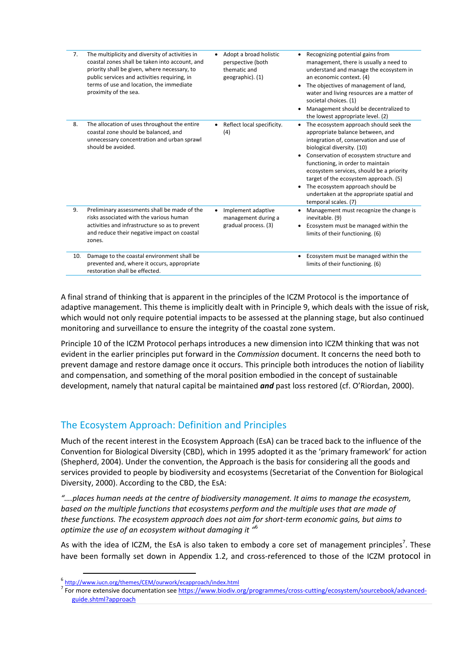| 7.  | The multiplicity and diversity of activities in<br>coastal zones shall be taken into account, and<br>priority shall be given, where necessary, to<br>public services and activities requiring, in<br>terms of use and location, the immediate<br>proximity of the sea. | Adopt a broad holistic<br>perspective (both<br>thematic and<br>geographic). (1) | Recognizing potential gains from<br>management, there is usually a need to<br>understand and manage the ecosystem in<br>an economic context. (4)<br>The objectives of management of land,<br>water and living resources are a matter of<br>societal choices. (1)<br>Management should be decentralized to<br>the lowest appropriate level. (2)                                                                                    |
|-----|------------------------------------------------------------------------------------------------------------------------------------------------------------------------------------------------------------------------------------------------------------------------|---------------------------------------------------------------------------------|-----------------------------------------------------------------------------------------------------------------------------------------------------------------------------------------------------------------------------------------------------------------------------------------------------------------------------------------------------------------------------------------------------------------------------------|
| 8.  | The allocation of uses throughout the entire<br>coastal zone should be balanced, and<br>unnecessary concentration and urban sprawl<br>should be avoided.                                                                                                               | Reflect local specificity.<br>٠<br>(4)                                          | The ecosystem approach should seek the<br>appropriate balance between, and<br>integration of, conservation and use of<br>biological diversity. (10)<br>Conservation of ecosystem structure and<br>functioning, in order to maintain<br>ecosystem services, should be a priority<br>target of the ecosystem approach. (5)<br>The ecosystem approach should be<br>undertaken at the appropriate spatial and<br>temporal scales. (7) |
| 9.  | Preliminary assessments shall be made of the<br>risks associated with the various human<br>activities and infrastructure so as to prevent<br>and reduce their negative impact on coastal<br>zones.                                                                     | Implement adaptive<br>٠<br>management during a<br>gradual process. (3)          | Management must recognize the change is<br>inevitable. (9)<br>Ecosystem must be managed within the<br>limits of their functioning. (6)                                                                                                                                                                                                                                                                                            |
| 10. | Damage to the coastal environment shall be<br>prevented and, where it occurs, appropriate<br>restoration shall be effected.                                                                                                                                            |                                                                                 | Ecosystem must be managed within the<br>limits of their functioning. (6)                                                                                                                                                                                                                                                                                                                                                          |

A final strand of thinking that is apparent in the principles of the ICZM Protocol is the importance of adaptive management. This theme is implicitly dealt with in Principle 9, which deals with the issue of risk, which would not only require potential impacts to be assessed at the planning stage, but also continued monitoring and surveillance to ensure the integrity of the coastal zone system.

Principle 10 of the ICZM Protocol perhaps introduces a new dimension into ICZM thinking that was not evident in the earlier principles put forward in the *Commission* document. It concerns the need both to prevent damage and restore damage once it occurs. This principle both introduces the notion of liability and compensation, and something of the moral position embodied in the concept of sustainable development, namely that natural capital be maintained *and* past loss restored (cf. O'Riordan, 2000).

# The Ecosystem Approach: Definition and Principles

Much of the recent interest in the Ecosystem Approach (EsA) can be traced back to the influence of the Convention for Biological Diversity (CBD), which in 1995 adopted it as the 'primary framework' for action (Shepherd, 2004). Under the convention, the Approach is the basis for considering all the goods and services provided to people by biodiversity and ecosystems (Secretariat of the Convention for Biological Diversity, 2000). According to the CBD, the EsA:

*"….places human needs at the centre of biodiversity management. It aims to manage the ecosystem, based on the multiple functions that ecosystems perform and the multiple uses that are made of these functions. The ecosystem approach does not aim for short‐term economic gains, but aims to optimize the use of an ecosystem without damaging it "* 6

As with the idea of ICZM, the EsA is also taken to embody a core set of management principles<sup>7</sup>. These have been formally set down in Appendix 1.2, and cross-referenced to those of the ICZM protocol in

<sup>&</sup>lt;sup>6</sup> http://www.iucn.org/themes/CEM/ourwork/ecapproach/index.html<br><sup>7</sup> For more extensive documentation see <u>https://www.biodiv.org/programmes/cross-cutting/ecosystem/sourcebook/advanced-</u> guide.shtml?approach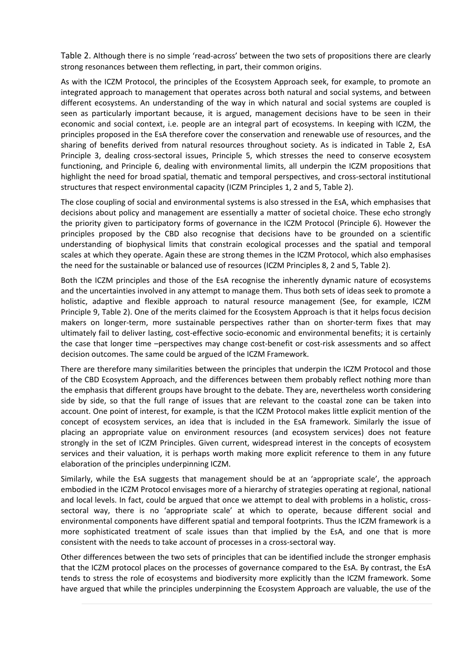Table 2. Although there is no simple 'read-across' between the two sets of propositions there are clearly strong resonances between them reflecting, in part, their common origins.

As with the ICZM Protocol, the principles of the Ecosystem Approach seek, for example, to promote an integrated approach to management that operates across both natural and social systems, and between different ecosystems. An understanding of the way in which natural and social systems are coupled is seen as particularly important because, it is argued, management decisions have to be seen in their economic and social context, i.e. people are an integral part of ecosystems. In keeping with ICZM, the principles proposed in the EsA therefore cover the conservation and renewable use of resources, and the sharing of benefits derived from natural resources throughout society. As is indicated in Table 2, EsA Principle 3, dealing cross‐sectoral issues, Principle 5, which stresses the need to conserve ecosystem functioning, and Principle 6, dealing with environmental limits, all underpin the ICZM propositions that highlight the need for broad spatial, thematic and temporal perspectives, and cross-sectoral institutional structures that respect environmental capacity (ICZM Principles 1, 2 and 5, Table 2).

The close coupling of social and environmental systems is also stressed in the EsA, which emphasises that decisions about policy and management are essentially a matter of societal choice. These echo strongly the priority given to participatory forms of governance in the ICZM Protocol (Principle 6). However the principles proposed by the CBD also recognise that decisions have to be grounded on a scientific understanding of biophysical limits that constrain ecological processes and the spatial and temporal scales at which they operate. Again these are strong themes in the ICZM Protocol, which also emphasises the need for the sustainable or balanced use of resources (ICZM Principles 8, 2 and 5, Table 2).

Both the ICZM principles and those of the EsA recognise the inherently dynamic nature of ecosystems and the uncertainties involved in any attempt to manage them. Thus both sets of ideas seek to promote a holistic, adaptive and flexible approach to natural resource management (See, for example, ICZM Principle 9, Table 2). One of the merits claimed for the Ecosystem Approach is that it helps focus decision makers on longer-term, more sustainable perspectives rather than on shorter-term fixes that may ultimately fail to deliver lasting, cost‐effective socio‐economic and environmental benefits; it is certainly the case that longer time –perspectives may change cost-benefit or cost-risk assessments and so affect decision outcomes. The same could be argued of the ICZM Framework.

There are therefore many similarities between the principles that underpin the ICZM Protocol and those of the CBD Ecosystem Approach, and the differences between them probably reflect nothing more than the emphasis that different groups have brought to the debate. They are, nevertheless worth considering side by side, so that the full range of issues that are relevant to the coastal zone can be taken into account. One point of interest, for example, is that the ICZM Protocol makes little explicit mention of the concept of ecosystem services, an idea that is included in the EsA framework. Similarly the issue of placing an appropriate value on environment resources (and ecosystem services) does not feature strongly in the set of ICZM Principles. Given current, widespread interest in the concepts of ecosystem services and their valuation, it is perhaps worth making more explicit reference to them in any future elaboration of the principles underpinning ICZM.

Similarly, while the EsA suggests that management should be at an 'appropriate scale', the approach embodied in the ICZM Protocol envisages more of a hierarchy of strategies operating at regional, national and local levels. In fact, could be argued that once we attempt to deal with problems in a holistic, crosssectoral way, there is no 'appropriate scale' at which to operate, because different social and environmental components have different spatial and temporal footprints. Thus the ICZM framework is a more sophisticated treatment of scale issues than that implied by the EsA, and one that is more consistent with the needs to take account of processes in a cross‐sectoral way.

Other differences between the two sets of principles that can be identified include the stronger emphasis that the ICZM protocol places on the processes of governance compared to the EsA. By contrast, the EsA tends to stress the role of ecosystems and biodiversity more explicitly than the ICZM framework. Some have argued that while the principles underpinning the Ecosystem Approach are valuable, the use of the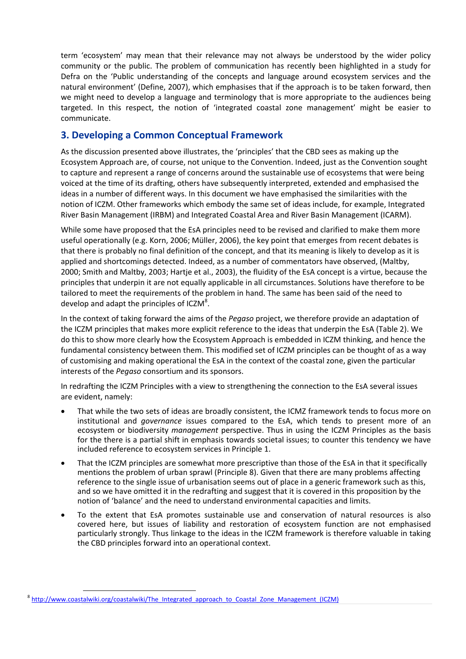term 'ecosystem' may mean that their relevance may not always be understood by the wider policy community or the public. The problem of communication has recently been highlighted in a study for Defra on the 'Public understanding of the concepts and language around ecosystem services and the natural environment' (Define, 2007), which emphasises that if the approach is to be taken forward, then we might need to develop a language and terminology that is more appropriate to the audiences being targeted. In this respect, the notion of 'integrated coastal zone management' might be easier to communicate.

#### **3. Developing a Common Conceptual Framework**

As the discussion presented above illustrates, the 'principles' that the CBD sees as making up the Ecosystem Approach are, of course, not unique to the Convention. Indeed, just as the Convention sought to capture and represent a range of concerns around the sustainable use of ecosystems that were being voiced at the time of its drafting, others have subsequently interpreted, extended and emphasised the ideas in a number of different ways. In this document we have emphasised the similarities with the notion of ICZM. Other frameworks which embody the same set of ideas include, for example, Integrated River Basin Management (IRBM) and Integrated Coastal Area and River Basin Management (ICARM).

While some have proposed that the EsA principles need to be revised and clarified to make them more useful operationally (e.g. Korn, 2006; Müller, 2006), the key point that emerges from recent debates is that there is probably no final definition of the concept, and that its meaning is likely to develop as it is applied and shortcomings detected. Indeed, as a number of commentators have observed, (Maltby, 2000; Smith and Maltby, 2003; Hartje et al., 2003), the fluidity of the EsA concept is a virtue, because the principles that underpin it are not equally applicable in all circumstances. Solutions have therefore to be tailored to meet the requirements of the problem in hand. The same has been said of the need to develop and adapt the principles of ICZM<sup>8</sup>.

In the context of taking forward the aims of the *Pegaso* project, we therefore provide an adaptation of the ICZM principles that makes more explicit reference to the ideas that underpin the EsA (Table 2). We do this to show more clearly how the Ecosystem Approach is embedded in ICZM thinking, and hence the fundamental consistency between them. This modified set of ICZM principles can be thought of as a way of customising and making operational the EsA in the context of the coastal zone, given the particular interests of the *Pegaso* consortium and its sponsors.

In redrafting the ICZM Principles with a view to strengthening the connection to the EsA several issues are evident, namely:

- That while the two sets of ideas are broadly consistent, the ICMZ framework tends to focus more on institutional and *governance* issues compared to the EsA, which tends to present more of an ecosystem or biodiversity *management* perspective. Thus in using the ICZM Principles as the basis for the there is a partial shift in emphasis towards societal issues; to counter this tendency we have included reference to ecosystem services in Principle 1.
- That the ICZM principles are somewhat more prescriptive than those of the EsA in that it specifically mentions the problem of urban sprawl (Principle 8). Given that there are many problems affecting reference to the single issue of urbanisation seems out of place in a generic framework such as this, and so we have omitted it in the redrafting and suggest that it is covered in this proposition by the notion of 'balance' and the need to understand environmental capacities and limits.
- To the extent that EsA promotes sustainable use and conservation of natural resources is also covered here, but issues of liability and restoration of ecosystem function are not emphasised particularly strongly. Thus linkage to the ideas in the ICZM framework is therefore valuable in taking the CBD principles forward into an operational context.

<sup>8</sup> http://www.coastalwiki.org/coastalwiki/The\_Integrated\_approach\_to\_Coastal\_Zone\_Management\_(ICZM)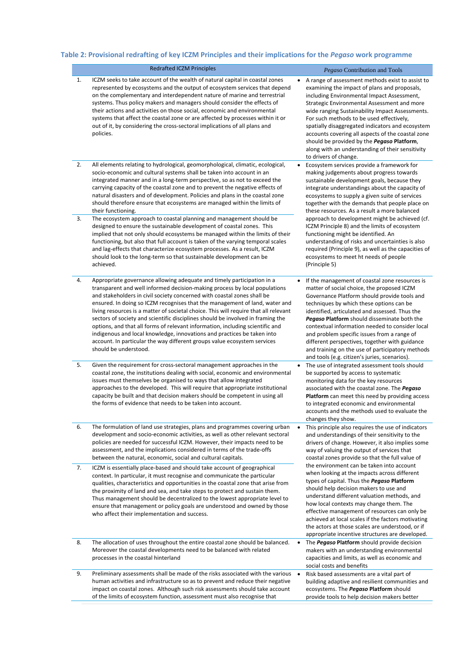#### **Table 2: Provisional redrafting of key ICZM Principles and their implications for the** *Pegaso* **work programme**

|          | <b>Redrafted ICZM Principles</b>                                                                                                                                                                                                                                                                                                                                                                                                                                                                                                                                                                                                                                                                                                                                                                                                                                                                                                                                              |           | <i>Pegaso</i> Contribution and Tools                                                                                                                                                                                                                                                                                                                                                                                                                                                                                                                                                                                                       |
|----------|-------------------------------------------------------------------------------------------------------------------------------------------------------------------------------------------------------------------------------------------------------------------------------------------------------------------------------------------------------------------------------------------------------------------------------------------------------------------------------------------------------------------------------------------------------------------------------------------------------------------------------------------------------------------------------------------------------------------------------------------------------------------------------------------------------------------------------------------------------------------------------------------------------------------------------------------------------------------------------|-----------|--------------------------------------------------------------------------------------------------------------------------------------------------------------------------------------------------------------------------------------------------------------------------------------------------------------------------------------------------------------------------------------------------------------------------------------------------------------------------------------------------------------------------------------------------------------------------------------------------------------------------------------------|
| 1.       | ICZM seeks to take account of the wealth of natural capital in coastal zones<br>represented by ecosystems and the output of ecosystem services that depend<br>on the complementary and interdependent nature of marine and terrestrial<br>systems. Thus policy makers and managers should consider the effects of<br>their actions and activities on those social, economic and environmental<br>systems that affect the coastal zone or are affected by processes within it or<br>out of it, by considering the cross-sectoral implications of all plans and<br>policies.                                                                                                                                                                                                                                                                                                                                                                                                    | $\bullet$ | A range of assessment methods exist to assist to<br>examining the impact of plans and proposals,<br>including Environmental Impact Assessment,<br>Strategic Environmental Assessment and more<br>wide ranging Sustainability Impact Assessments.<br>For such methods to be used effectively,<br>spatially disaggregated indicators and ecosystem<br>accounts covering all aspects of the coastal zone<br>should be provided by the <b>Pegaso Platform</b> ,<br>along with an understanding of their sensitivity<br>to drivers of change.                                                                                                   |
| 2.<br>3. | All elements relating to hydrological, geomorphological, climatic, ecological,<br>socio-economic and cultural systems shall be taken into account in an<br>integrated manner and in a long-term perspective, so as not to exceed the<br>carrying capacity of the coastal zone and to prevent the negative effects of<br>natural disasters and of development. Policies and plans in the coastal zone<br>should therefore ensure that ecosystems are managed within the limits of<br>their functioning.<br>The ecosystem approach to coastal planning and management should be<br>designed to ensure the sustainable development of coastal zones. This<br>implied that not only should ecosystems be managed within the limits of their<br>functioning, but also that full account is taken of the varying temporal scales<br>and lag-effects that characterize ecosystem processes. As a result, ICZM<br>should look to the long-term so that sustainable development can be | $\bullet$ | Ecosystem services provide a framework for<br>making judgements about progress towards<br>sustainable development goals, because they<br>integrate understandings about the capacity of<br>ecosystems to supply a given suite of services<br>together with the demands that people place on<br>these resources. As a result a more balanced<br>approach to development might be achieved (cf.<br>ICZM Principle 8) and the limits of ecosystem<br>functioning might be identified. An<br>understanding of risks and uncertainties is also<br>required (Principle 9), as well as the capacities of<br>ecosystems to meet ht needs of people |
| 4.       | achieved.<br>Appropriate governance allowing adequate and timely participation in a<br>transparent and well informed decision-making process by local populations<br>and stakeholders in civil society concerned with coastal zones shall be<br>ensured. In doing so ICZM recognises that the management of land, water and<br>living resources is a matter of societal choice. This will require that all relevant<br>sectors of society and scientific disciplines should be involved in framing the<br>options, and that all forms of relevant information, including scientific and<br>indigenous and local knowledge, innovations and practices be taken into<br>account. In particular the way different groups value ecosystem services<br>should be understood.                                                                                                                                                                                                       | ٠         | (Principle 5)<br>If the management of coastal zone resources is<br>matter of social choice, the proposed ICZM<br>Governance Platform should provide tools and<br>techniques by which these options can be<br>identified, articulated and assessed. Thus the<br>Pegaso Platform should disseminate both the<br>contextual information needed to consider local<br>and problem specific issues from a range of<br>different perspectives, together with guidance<br>and training on the use of participatory methods<br>and tools (e.g. citizen's juries, scenarios).                                                                        |
| 5.       | Given the requirement for cross-sectoral management approaches in the<br>coastal zone, the institutions dealing with social, economic and environmental<br>issues must themselves be organised to ways that allow integrated<br>approaches to the developed. This will require that appropriate institutional<br>capacity be built and that decision makers should be competent in using all<br>the forms of evidence that needs to be taken into account.                                                                                                                                                                                                                                                                                                                                                                                                                                                                                                                    | $\bullet$ | The use of integrated assessment tools should<br>be supported by access to systematic<br>monitoring data for the key resources<br>associated with the coastal zone. The Pegaso<br><b>Platform</b> can meet this need by providing access<br>to integrated economic and environmental<br>accounts and the methods used to evaluate the<br>changes they show.                                                                                                                                                                                                                                                                                |
| 6.       | The formulation of land use strategies, plans and programmes covering urban<br>development and socio-economic activities, as well as other relevant sectoral<br>policies are needed for successful ICZM. However, their impacts need to be<br>assessment, and the implications considered in terms of the trade-offs<br>between the natural, economic, social and cultural capitals.                                                                                                                                                                                                                                                                                                                                                                                                                                                                                                                                                                                          |           | This principle also requires the use of indicators<br>and understandings of their sensitivity to the<br>drivers of change. However, it also implies some<br>way of valuing the output of services that<br>coastal zones provide so that the full value of                                                                                                                                                                                                                                                                                                                                                                                  |
| 7.       | ICZM is essentially place-based and should take account of geographical<br>context. In particular, it must recognise and communicate the particular<br>qualities, characteristics and opportunities in the coastal zone that arise from<br>the proximity of land and sea, and take steps to protect and sustain them.<br>Thus management should be decentralized to the lowest appropriate level to<br>ensure that management or policy goals are understood and owned by those<br>who affect their implementation and success.                                                                                                                                                                                                                                                                                                                                                                                                                                               |           | the environment can be taken into account<br>when looking at the impacts across different<br>types of capital. Thus the <b>Pegaso Platform</b><br>should help decision makers to use and<br>understand different valuation methods, and<br>how local contexts may change them. The<br>effective management of resources can only be<br>achieved at local scales if the factors motivating<br>the actors at those scales are understood, or if<br>appropriate incentive structures are developed.                                                                                                                                           |
| 8.       | The allocation of uses throughout the entire coastal zone should be balanced.<br>Moreover the coastal developments need to be balanced with related<br>processes in the coastal hinterland                                                                                                                                                                                                                                                                                                                                                                                                                                                                                                                                                                                                                                                                                                                                                                                    |           | The <b>Pegaso Platform</b> should provide decision<br>makers with an understanding environmental<br>capacities and limits, as well as economic and<br>social costs and benefits                                                                                                                                                                                                                                                                                                                                                                                                                                                            |
| 9.       | Preliminary assessments shall be made of the risks associated with the various<br>human activities and infrastructure so as to prevent and reduce their negative<br>impact on coastal zones. Although such risk assessments should take account<br>of the limits of ecosystem function, assessment must also recognise that                                                                                                                                                                                                                                                                                                                                                                                                                                                                                                                                                                                                                                                   |           | Risk based assessments are a vital part of<br>building adaptive and resilient communities and<br>ecosystems. The <b>Pegaso Platform</b> should<br>provide tools to help decision makers better                                                                                                                                                                                                                                                                                                                                                                                                                                             |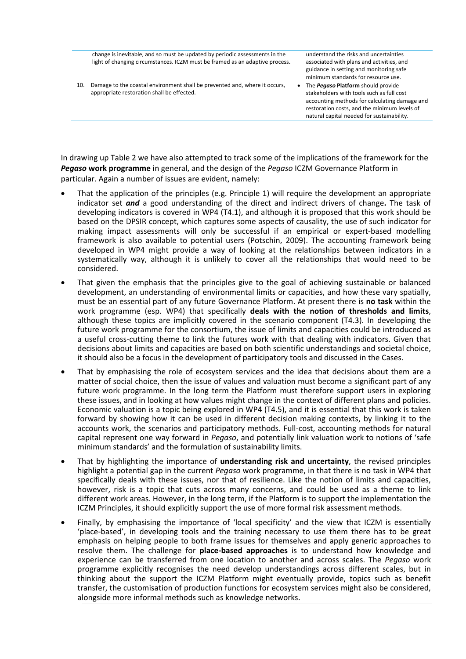change is inevitable, and so must be updated by periodic assessments in the light of changing circumstances. ICZM must be framed as an adaptive process.

10. Damage to the coastal environment shall be prevented and, where it occurs, appropriate restoration shall be effected.

understand the risks and uncertainties associated with plans and activities, and guidance in setting and monitoring safe minimum standards for resource use.

 The *Pegaso* **Platform** should provide stakeholders with tools such as full cost accounting methods for calculating damage and restoration costs, and the minimum levels of natural capital needed for sustainability.

In drawing up Table 2 we have also attempted to track some of the implications of the framework for the *Pegaso* **work programme** in general, and the design of the *Pegaso* ICZM Governance Platform in particular. Again a number of issues are evident, namely:

- That the application of the principles (e.g. Principle 1) will require the development an appropriate indicator set *and* a good understanding of the direct and indirect drivers of change**.** The task of developing indicators is covered in WP4 (T4.1), and although it is proposed that this work should be based on the DPSIR concept, which captures some aspects of causality, the use of such indicator for making impact assessments will only be successful if an empirical or expert-based modelling framework is also available to potential users (Potschin, 2009). The accounting framework being developed in WP4 might provide a way of looking at the relationships between indicators in a systematically way, although it is unlikely to cover all the relationships that would need to be considered.
- That given the emphasis that the principles give to the goal of achieving sustainable or balanced development, an understanding of environmental limits or capacities, and how these vary spatially, must be an essential part of any future Governance Platform. At present there is **no task** within the work programme (esp. WP4) that specifically **deals with the notion of thresholds and limits**, although these topics are implicitly covered in the scenario component (T4.3). In developing the future work programme for the consortium, the issue of limits and capacities could be introduced as a useful cross-cutting theme to link the futures work with that dealing with indicators. Given that decisions about limits and capacities are based on both scientific understandings and societal choice, it should also be a focus in the development of participatory tools and discussed in the Cases.
- That by emphasising the role of ecosystem services and the idea that decisions about them are a matter of social choice, then the issue of values and valuation must become a significant part of any future work programme. In the long term the Platform must therefore support users in exploring these issues, and in looking at how values might change in the context of different plans and policies. Economic valuation is a topic being explored in WP4 (T4.5), and it is essential that this work is taken forward by showing how it can be used in different decision making contexts, by linking it to the accounts work, the scenarios and participatory methods. Full‐cost, accounting methods for natural capital represent one way forward in *Pegaso*, and potentially link valuation work to notions of 'safe minimum standards' and the formulation of sustainability limits.
- That by highlighting the importance of **understanding risk and uncertainty**, the revised principles highlight a potential gap in the current *Pegaso* work programme, in that there is no task in WP4 that specifically deals with these issues, nor that of resilience. Like the notion of limits and capacities, however, risk is a topic that cuts across many concerns, and could be used as a theme to link different work areas. However, in the long term, if the Platform is to support the implementation the ICZM Principles, it should explicitly support the use of more formal risk assessment methods.
- Finally, by emphasising the importance of 'local specificity' and the view that ICZM is essentially 'place‐based', in developing tools and the training necessary to use them there has to be great emphasis on helping people to both frame issues for themselves and apply generic approaches to resolve them. The challenge for **place-based approaches** is to understand how knowledge and experience can be transferred from one location to another and across scales. The *Pegaso* work programme explicitly recognises the need develop understandings across different scales, but in thinking about the support the ICZM Platform might eventually provide, topics such as benefit transfer, the customisation of production functions for ecosystem services might also be considered, alongside more informal methods such as knowledge networks.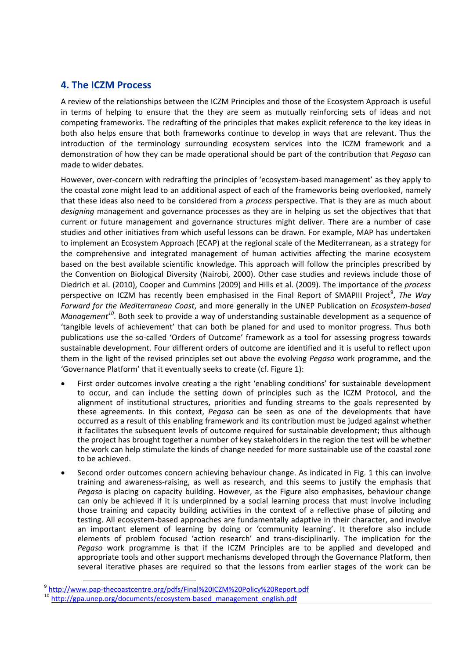### **4. The ICZM Process**

A review of the relationships between the ICZM Principles and those of the Ecosystem Approach is useful in terms of helping to ensure that the they are seem as mutually reinforcing sets of ideas and not competing frameworks. The redrafting of the principles that makes explicit reference to the key ideas in both also helps ensure that both frameworks continue to develop in ways that are relevant. Thus the introduction of the terminology surrounding ecosystem services into the ICZM framework and a demonstration of how they can be made operational should be part of the contribution that *Pegaso* can made to wider debates.

However, over-concern with redrafting the principles of 'ecosystem-based management' as they apply to the coastal zone might lead to an additional aspect of each of the frameworks being overlooked, namely that these ideas also need to be considered from a *process* perspective. That is they are as much about *designing* management and governance processes as they are in helping us set the objectives that that current or future management and governance structures might deliver. There are a number of case studies and other initiatives from which useful lessons can be drawn. For example, MAP has undertaken to implement an Ecosystem Approach (ECAP) at the regional scale of the Mediterranean, as a strategy for the comprehensive and integrated management of human activities affecting the marine ecosystem based on the best available scientific knowledge. This approach will follow the principles prescribed by the Convention on Biological Diversity (Nairobi, 2000). Other case studies and reviews include those of Diedrich et al. (2010), Cooper and Cummins (2009) and Hills et al. (2009). The importance of the *process* perspective on ICZM has recently been emphasised in the Final Report of SMAPIII Project<sup>9</sup>, The Way *Forward for the Mediterranean Coast*, and more generally in the UNEP Publication on *Ecosystem‐based Management<sup>10</sup>*. Both seek to provide a way of understanding sustainable development as a sequence of 'tangible levels of achievement' that can both be planed for and used to monitor progress. Thus both publications use the so-called 'Orders of Outcome' framework as a tool for assessing progress towards sustainable development. Four different orders of outcome are identified and it is useful to reflect upon them in the light of the revised principles set out above the evolving *Pegaso* work programme, and the 'Governance Platform' that it eventually seeks to create (cf. Figure 1):

- First order outcomes involve creating a the right 'enabling conditions' for sustainable development to occur, and can include the setting down of principles such as the ICZM Protocol, and the alignment of institutional structures, priorities and funding streams to the goals represented by these agreements. In this context, *Pegaso* can be seen as one of the developments that have occurred as a result of this enabling framework and its contribution must be judged against whether it facilitates the subsequent levels of outcome required for sustainable development; thus although the project has brought together a number of key stakeholders in the region the test will be whether the work can help stimulate the kinds of change needed for more sustainable use of the coastal zone to be achieved.
- Second order outcomes concern achieving behaviour change. As indicated in Fig. 1 this can involve training and awareness‐raising, as well as research, and this seems to justify the emphasis that *Pegaso* is placing on capacity building. However, as the Figure also emphasises, behaviour change can only be achieved if it is underpinned by a social learning process that must involve including those training and capacity building activities in the context of a reflective phase of piloting and testing. All ecosystem‐based approaches are fundamentally adaptive in their character, and involve an important element of learning by doing or 'community learning'. It therefore also include elements of problem focused 'action research' and trans‐disciplinarily. The implication for the *Pegaso* work programme is that if the ICZM Principles are to be applied and developed and appropriate tools and other support mechanisms developed through the Governance Platform, then several iterative phases are required so that the lessons from earlier stages of the work can be

1

<sup>9</sup> http://www.pap-thecoastcentre.org/pdfs/Final%20ICZM%20Policy%20Report.pdf<br><sup>10</sup> http://gpa.unep.org/documents/ecosystem-based\_management\_english.pdf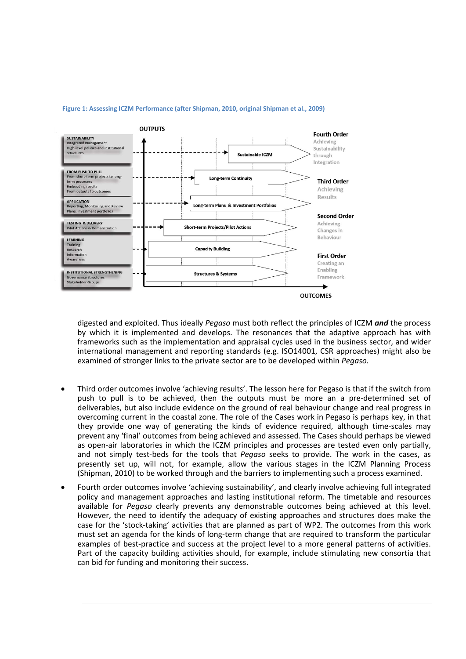

#### **Figure 1: Assessing ICZM Performance (after Shipman, 2010, original Shipman et al., 2009)**

digested and exploited. Thus ideally *Pegaso* must both reflect the principles of ICZM *and* the process by which it is implemented and develops. The resonances that the adaptive approach has with frameworks such as the implementation and appraisal cycles used in the business sector, and wider international management and reporting standards (e.g. ISO14001, CSR approaches) might also be examined of stronger links to the private sector are to be developed within *Pegaso.*

- Third order outcomes involve 'achieving results'. The lesson here for Pegaso is that if the switch from push to pull is to be achieved, then the outputs must be more an a pre-determined set of deliverables, but also include evidence on the ground of real behaviour change and real progress in overcoming current in the coastal zone. The role of the Cases work in Pegaso is perhaps key, in that they provide one way of generating the kinds of evidence required, although time‐scales may prevent any 'final' outcomes from being achieved and assessed. The Cases should perhaps be viewed as open‐air laboratories in which the ICZM principles and processes are tested even only partially, and not simply test‐beds for the tools that *Pegaso* seeks to provide. The work in the cases, as presently set up, will not, for example, allow the various stages in the ICZM Planning Process (Shipman, 2010) to be worked through and the barriers to implementing such a process examined.
- Fourth order outcomes involve 'achieving sustainability', and clearly involve achieving full integrated policy and management approaches and lasting institutional reform. The timetable and resources available for *Pegaso* clearly prevents any demonstrable outcomes being achieved at this level. However, the need to identify the adequacy of existing approaches and structures does make the case for the 'stock‐taking' activities that are planned as part of WP2. The outcomes from this work must set an agenda for the kinds of long‐term change that are required to transform the particular examples of best-practice and success at the project level to a more general patterns of activities. Part of the capacity building activities should, for example, include stimulating new consortia that can bid for funding and monitoring their success.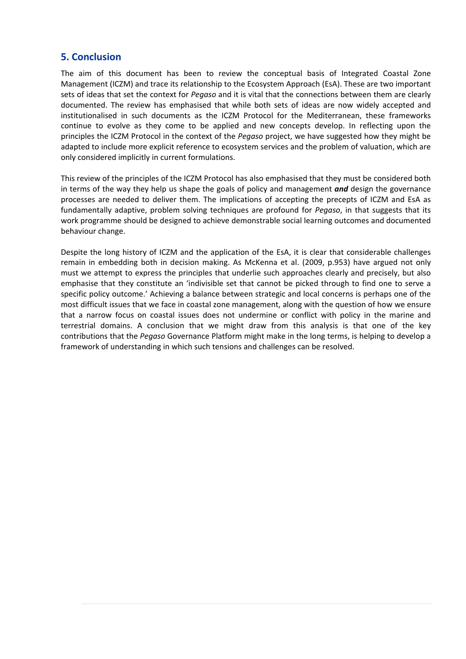### **5. Conclusion**

The aim of this document has been to review the conceptual basis of Integrated Coastal Zone Management (ICZM) and trace its relationship to the Ecosystem Approach (EsA). These are two important sets of ideas that set the context for *Pegaso* and it is vital that the connections between them are clearly documented. The review has emphasised that while both sets of ideas are now widely accepted and institutionalised in such documents as the ICZM Protocol for the Mediterranean, these frameworks continue to evolve as they come to be applied and new concepts develop. In reflecting upon the principles the ICZM Protocol in the context of the *Pegaso* project, we have suggested how they might be adapted to include more explicit reference to ecosystem services and the problem of valuation, which are only considered implicitly in current formulations.

This review of the principles of the ICZM Protocol has also emphasised that they must be considered both in terms of the way they help us shape the goals of policy and management *and* design the governance processes are needed to deliver them. The implications of accepting the precepts of ICZM and EsA as fundamentally adaptive, problem solving techniques are profound for *Pegaso*, in that suggests that its work programme should be designed to achieve demonstrable social learning outcomes and documented behaviour change.

Despite the long history of ICZM and the application of the EsA, it is clear that considerable challenges remain in embedding both in decision making. As McKenna et al. (2009, p.953) have argued not only must we attempt to express the principles that underlie such approaches clearly and precisely, but also emphasise that they constitute an 'indivisible set that cannot be picked through to find one to serve a specific policy outcome.' Achieving a balance between strategic and local concerns is perhaps one of the most difficult issues that we face in coastal zone management, along with the question of how we ensure that a narrow focus on coastal issues does not undermine or conflict with policy in the marine and terrestrial domains. A conclusion that we might draw from this analysis is that one of the key contributions that the *Pegaso* Governance Platform might make in the long terms, is helping to develop a framework of understanding in which such tensions and challenges can be resolved.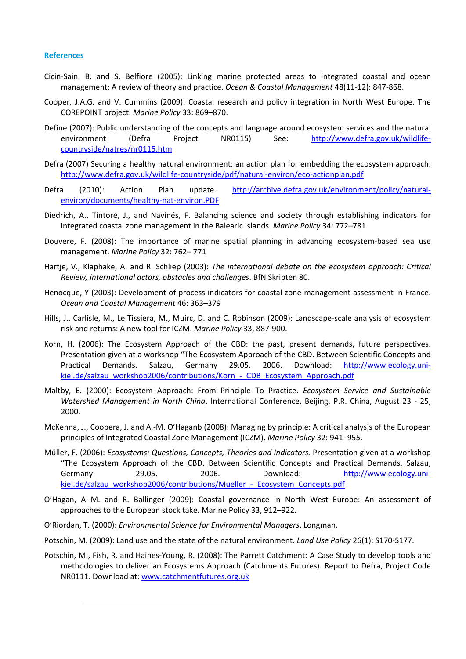#### **References**

- Cicin‐Sain, B. and S. Belfiore (2005): Linking marine protected areas to integrated coastal and ocean management: A review of theory and practice. *Ocean & Coastal Management* 48(11‐12): 847‐868.
- Cooper, J.A.G. and V. Cummins (2009): Coastal research and policy integration in North West Europe. The COREPOINT project. *Marine Policy* 33: 869–870.
- Define (2007): Public understanding of the concepts and language around ecosystem services and the natural environment (Defra Project NR0115) See: http://www.defra.gov.uk/wildlifecountryside/natres/nr0115.htm
- Defra (2007) Securing a healthy natural environment: an action plan for embedding the ecosystem approach: http://www.defra.gov.uk/wildlife‐countryside/pdf/natural‐environ/eco‐actionplan.pdf
- Defra (2010): Action Plan update. http://archive.defra.gov.uk/environment/policy/naturalenviron/documents/healthy‐nat‐environ.PDF
- Diedrich, A., Tintoré, J., and Navinés, F. Balancing science and society through establishing indicators for integrated coastal zone management in the Balearic Islands. *Marine Policy* 34: 772–781.
- Douvere, F. (2008): The importance of marine spatial planning in advancing ecosystem-based sea use management. *Marine Policy* 32: 762– 771
- Hartje, V., Klaphake, A. and R. Schliep (2003): *The international debate on the ecosystem approach: Critical Review, international actors, obstacles and challenges*. BfN Skripten 80.
- Henocque, Y (2003): Development of process indicators for coastal zone management assessment in France. *Ocean and Coastal Management* 46: 363–379
- Hills, J., Carlisle, M., Le Tissiera, M., Muirc, D. and C. Robinson (2009): Landscape‐scale analysis of ecosystem risk and returns: A new tool for ICZM. *Marine Policy* 33, 887‐900.
- Korn, H. (2006): The Ecosystem Approach of the CBD: the past, present demands, future perspectives. Presentation given at a workshop "The Ecosystem Approach of the CBD. Between Scientific Concepts and Practical Demands. Salzau, Germany 29.05. 2006. Download: http://www.ecology.unikiel.de/salzau\_workshop2006/contributions/Korn - CDB\_Ecosystem\_Approach.pdf
- Maltby, E. (2000): Ecosystem Approach: From Principle To Practice. *Ecosystem Service and Sustainable Watershed Management in North China*, International Conference, Beijing, P.R. China, August 23 ‐ 25, 2000.
- McKenna, J., Coopera, J. and A.‐M. O'Haganb (2008): Managing by principle: A critical analysis of the European principles of Integrated Coastal Zone Management (ICZM). *Marine Policy* 32: 941–955.
- Müller, F. (2006): *Ecosystems: Questions, Concepts, Theories and Indicators.* Presentation given at a workshop "The Ecosystem Approach of the CBD. Between Scientific Concepts and Practical Demands. Salzau, Germany 29.05. 2006. Download: http://www.ecology.unikiel.de/salzau\_workshop2006/contributions/Mueller - Ecosystem\_Concepts.pdf
- O'Hagan, A.‐M. and R. Ballinger (2009): Coastal governance in North West Europe: An assessment of approaches to the European stock take. Marine Policy 33, 912–922.
- O'Riordan, T. (2000): *Environmental Science for Environmental Managers*, Longman.
- Potschin, M. (2009): Land use and the state of the natural environment. *Land Use Policy* 26(1): S170‐S177.
- Potschin, M., Fish, R. and Haines‐Young, R. (2008): The Parrett Catchment: A Case Study to develop tools and methodologies to deliver an Ecosystems Approach (Catchments Futures). Report to Defra, Project Code NR0111. Download at: www.catchmentfutures.org.uk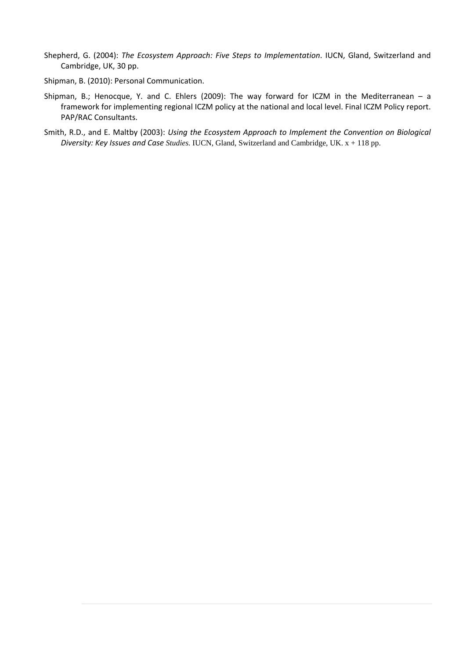- Shepherd, G. (2004): *The Ecosystem Approach: Five Steps to Implementation*. IUCN, Gland, Switzerland and Cambridge, UK, 30 pp.
- Shipman, B. (2010): Personal Communication.
- Shipman, B.; Henocque, Y. and C. Ehlers (2009): The way forward for ICZM in the Mediterranean a framework for implementing regional ICZM policy at the national and local level. Final ICZM Policy report. PAP/RAC Consultants.
- Smith, R.D., and E. Maltby (2003): *Using the Ecosystem Approach to Implement the Convention on Biological Diversity: Key Issues and Case Studies.* IUCN, Gland, Switzerland and Cambridge, UK. x + 118 pp.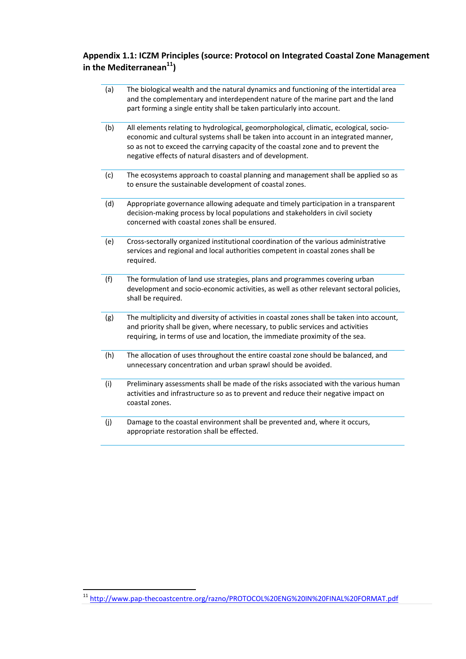#### **Appendix 1.1: ICZM Principles (source: Protocol on Integrated Coastal Zone Management in the Mediterranean**<sup>11</sup>)

| (a) | The biological wealth and the natural dynamics and functioning of the intertidal area<br>and the complementary and interdependent nature of the marine part and the land<br>part forming a single entity shall be taken particularly into account.                                                                           |
|-----|------------------------------------------------------------------------------------------------------------------------------------------------------------------------------------------------------------------------------------------------------------------------------------------------------------------------------|
| (b) | All elements relating to hydrological, geomorphological, climatic, ecological, socio-<br>economic and cultural systems shall be taken into account in an integrated manner,<br>so as not to exceed the carrying capacity of the coastal zone and to prevent the<br>negative effects of natural disasters and of development. |
| (c) | The ecosystems approach to coastal planning and management shall be applied so as<br>to ensure the sustainable development of coastal zones.                                                                                                                                                                                 |
| (d) | Appropriate governance allowing adequate and timely participation in a transparent<br>decision-making process by local populations and stakeholders in civil society<br>concerned with coastal zones shall be ensured.                                                                                                       |
| (e) | Cross-sectorally organized institutional coordination of the various administrative<br>services and regional and local authorities competent in coastal zones shall be<br>required.                                                                                                                                          |
| (f) | The formulation of land use strategies, plans and programmes covering urban<br>development and socio-economic activities, as well as other relevant sectoral policies,<br>shall be required.                                                                                                                                 |
| (g) | The multiplicity and diversity of activities in coastal zones shall be taken into account,<br>and priority shall be given, where necessary, to public services and activities<br>requiring, in terms of use and location, the immediate proximity of the sea.                                                                |
| (h) | The allocation of uses throughout the entire coastal zone should be balanced, and<br>unnecessary concentration and urban sprawl should be avoided.                                                                                                                                                                           |
| (i) | Preliminary assessments shall be made of the risks associated with the various human<br>activities and infrastructure so as to prevent and reduce their negative impact on<br>coastal zones.                                                                                                                                 |
| (i) | Damage to the coastal environment shall be prevented and, where it occurs,<br>appropriate restoration shall be effected.                                                                                                                                                                                                     |

<u>.</u>

<sup>&</sup>lt;sup>11</sup> http://www.pap-thecoastcentre.org/razno/PROTOCOL%20ENG%20IN%20FINAL%20FORMAT.pdf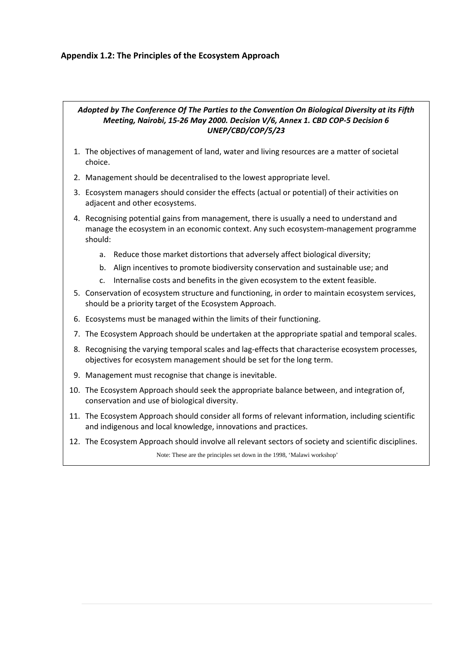#### **Appendix 1.2: The Principles of the Ecosystem Approach**

#### *Adopted by The Conference Of The Parties to the Convention On Biological Diversity at its Fifth Meeting, Nairobi, 15‐26 May 2000. Decision V/6, Annex 1. CBD COP‐5 Decision 6 UNEP/CBD/COP/5/23*

- 1. The objectives of management of land, water and living resources are a matter of societal choice.
- 2. Management should be decentralised to the lowest appropriate level.
- 3. Ecosystem managers should consider the effects (actual or potential) of their activities on adjacent and other ecosystems.
- 4. Recognising potential gains from management, there is usually a need to understand and manage the ecosystem in an economic context. Any such ecosystem-management programme should:
	- a. Reduce those market distortions that adversely affect biological diversity;
	- b. Align incentives to promote biodiversity conservation and sustainable use; and
	- c. Internalise costs and benefits in the given ecosystem to the extent feasible.
- 5. Conservation of ecosystem structure and functioning, in order to maintain ecosystem services, should be a priority target of the Ecosystem Approach.
- 6. Ecosystems must be managed within the limits of their functioning.
- 7. The Ecosystem Approach should be undertaken at the appropriate spatial and temporal scales.
- 8. Recognising the varying temporal scales and lag-effects that characterise ecosystem processes, objectives for ecosystem management should be set for the long term.
- 9. Management must recognise that change is inevitable.
- 10. The Ecosystem Approach should seek the appropriate balance between, and integration of, conservation and use of biological diversity.
- 11. The Ecosystem Approach should consider all forms of relevant information, including scientific and indigenous and local knowledge, innovations and practices.
- 12. The Ecosystem Approach should involve all relevant sectors of society and scientific disciplines.

Note: These are the principles set down in the 1998, 'Malawi workshop'